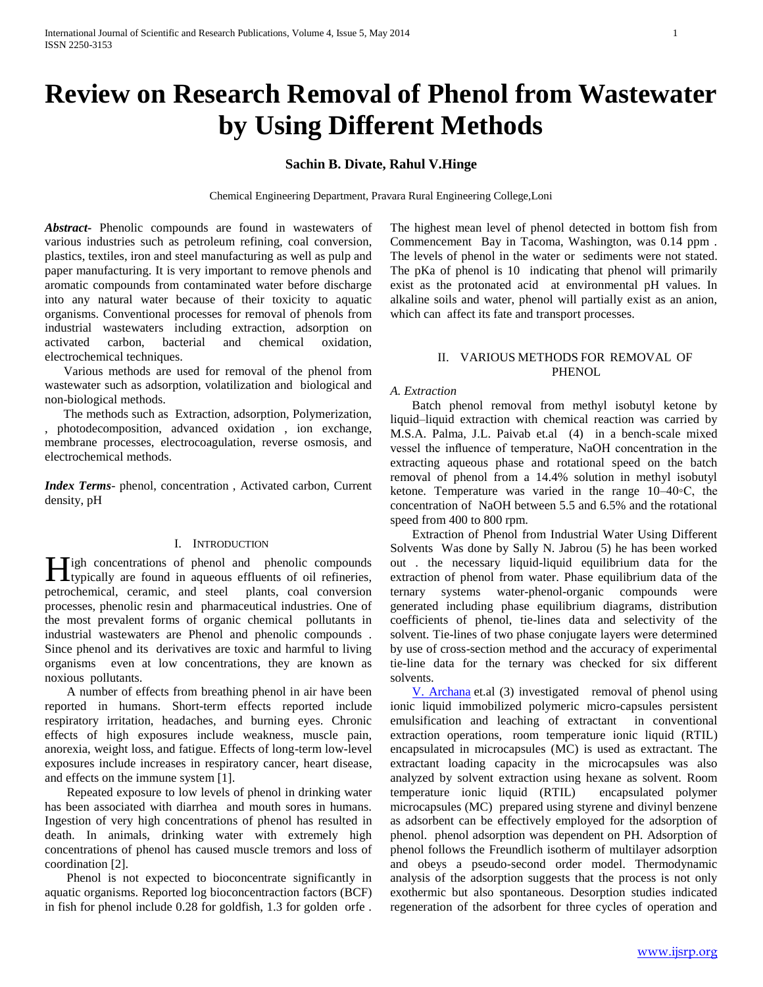# **Review on Research Removal of Phenol from Wastewater by Using Different Methods**

# **Sachin B. Divate, Rahul V.Hinge**

Chemical Engineering Department, Pravara Rural Engineering College,Loni

*Abstract***-** Phenolic compounds are found in wastewaters of various industries such as petroleum refining, coal conversion, plastics, textiles, iron and steel manufacturing as well as pulp and paper manufacturing. It is very important to remove phenols and aromatic compounds from contaminated water before discharge into any natural water because of their toxicity to aquatic organisms. Conventional processes for removal of phenols from industrial wastewaters including extraction, adsorption on activated carbon, bacterial and chemical oxidation, electrochemical techniques.

 Various methods are used for removal of the phenol from wastewater such as adsorption, volatilization and biological and non-biological methods.

 The methods such as Extraction, adsorption, Polymerization, , photodecomposition, advanced oxidation , ion exchange, membrane processes, electrocoagulation, reverse osmosis, and electrochemical methods.

*Index Terms*- phenol, concentration , Activated carbon, Current density, pH

# I. INTRODUCTION

**II** igh concentrations of phenol and phenolic compounds **the figh** concentrations of phenol and phenolic compounds typically are found in aqueous effluents of oil refineries, petrochemical, ceramic, and steel plants, coal conversion processes, phenolic resin and pharmaceutical industries. One of the most prevalent forms of organic chemical pollutants in industrial wastewaters are Phenol and phenolic compounds . Since phenol and its derivatives are toxic and harmful to living organisms even at low concentrations, they are known as noxious pollutants.

 A number of effects from breathing phenol in air have been reported in humans. Short-term effects reported include respiratory irritation, headaches, and burning eyes. Chronic effects of high exposures include weakness, muscle pain, anorexia, weight loss, and fatigue. Effects of long-term low-level exposures include increases in respiratory cancer, heart disease, and effects on the immune system [1].

 Repeated exposure to low levels of phenol in drinking water has been associated with diarrhea and mouth sores in humans. Ingestion of very high concentrations of phenol has resulted in death. In animals, drinking water with extremely high concentrations of phenol has caused muscle tremors and loss of coordination [2].

 Phenol is not expected to bioconcentrate significantly in aquatic organisms. Reported log bioconcentraction factors (BCF) in fish for phenol include 0.28 for goldfish, 1.3 for golden orfe . The highest mean level of phenol detected in bottom fish from Commencement Bay in Tacoma, Washington, was 0.14 ppm . The levels of phenol in the water or sediments were not stated. The pKa of phenol is 10 indicating that phenol will primarily exist as the protonated acid at environmental pH values. In alkaline soils and water, phenol will partially exist as an anion, which can affect its fate and transport processes.

## II. VARIOUS METHODS FOR REMOVAL OF **PHENOL**

## *A. Extraction*

 Batch phenol removal from methyl isobutyl ketone by liquid–liquid extraction with chemical reaction was carried by M.S.A. Palma, J.L. Paivab et.al (4) in a bench-scale mixed vessel the influence of temperature, NaOH concentration in the extracting aqueous phase and rotational speed on the batch removal of phenol from a 14.4% solution in methyl isobutyl ketone. Temperature was varied in the range 10–40◦C, the concentration of NaOH between 5.5 and 6.5% and the rotational speed from 400 to 800 rpm.

 Extraction of Phenol from Industrial Water Using Different Solvents Was done by Sally N. Jabrou (5) he has been worked out . the necessary liquid-liquid equilibrium data for the extraction of phenol from water. Phase equilibrium data of the ternary systems water-phenol-organic compounds were generated including phase equilibrium diagrams, distribution coefficients of phenol, tie-lines data and selectivity of the solvent. Tie-lines of two phase conjugate layers were determined by use of cross-section method and the accuracy of experimental tie-line data for the ternary was checked for six different solvents.

 [V. Archana](http://www.sciencedirect.com/science/article/pii/S1878535213000865) et.al (3) investigated removal of phenol using ionic liquid immobilized polymeric micro-capsules persistent emulsification and leaching of extractant in conventional extraction operations, room temperature ionic liquid (RTIL) encapsulated in microcapsules (MC) is used as extractant. The extractant loading capacity in the microcapsules was also analyzed by solvent extraction using hexane as solvent. Room temperature ionic liquid (RTIL) encapsulated polymer microcapsules (MC) prepared using styrene and divinyl benzene as adsorbent can be effectively employed for the adsorption of phenol. phenol adsorption was dependent on PH. Adsorption of phenol follows the Freundlich isotherm of multilayer adsorption and obeys a pseudo-second order model. Thermodynamic analysis of the adsorption suggests that the process is not only exothermic but also spontaneous. Desorption studies indicated regeneration of the adsorbent for three cycles of operation and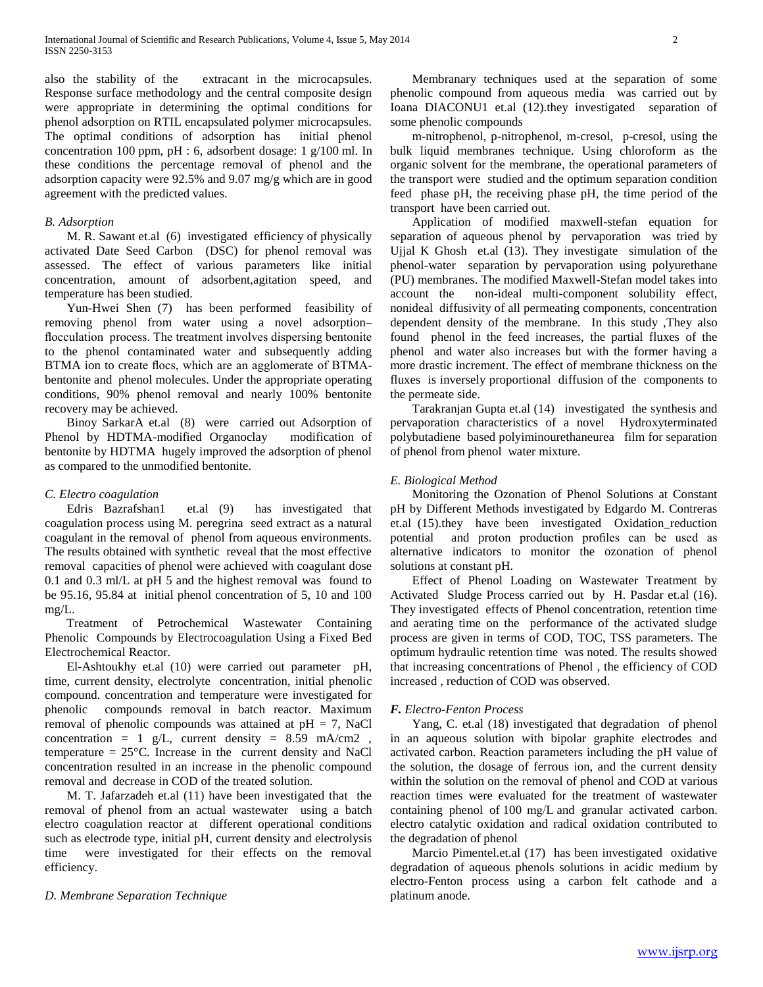also the stability of the extracant in the microcapsules. Response surface methodology and the central composite design were appropriate in determining the optimal conditions for phenol adsorption on RTIL encapsulated polymer microcapsules. The optimal conditions of adsorption has initial phenol concentration 100 ppm, pH : 6, adsorbent dosage: 1 g/100 ml. In these conditions the percentage removal of phenol and the adsorption capacity were 92.5% and 9.07 mg/g which are in good agreement with the predicted values.

## *B. Adsorption*

 M. R. Sawant et.al (6) investigated efficiency of physically activated Date Seed Carbon (DSC) for phenol removal was assessed. The effect of various parameters like initial concentration, amount of adsorbent,agitation speed, and temperature has been studied.

 Yun-Hwei Shen (7) has been performed feasibility of removing phenol from water using a novel adsorption– flocculation process. The treatment involves dispersing bentonite to the phenol contaminated water and subsequently adding BTMA ion to create flocs, which are an agglomerate of BTMAbentonite and phenol molecules. Under the appropriate operating conditions, 90% phenol removal and nearly 100% bentonite recovery may be achieved.

 Binoy SarkarA et.al (8) were carried out Adsorption of Phenol by HDTMA-modified Organoclay modification of bentonite by HDTMA hugely improved the adsorption of phenol as compared to the unmodified bentonite.

#### *C. Electro coagulation*

 Edris Bazrafshan1 et.al (9) has investigated that coagulation process using M. peregrina seed extract as a natural coagulant in the removal of phenol from aqueous environments. The results obtained with synthetic reveal that the most effective removal capacities of phenol were achieved with coagulant dose 0.1 and 0.3 ml/L at pH 5 and the highest removal was found to be 95.16, 95.84 at initial phenol concentration of 5, 10 and 100 mg/L.

 Treatment of Petrochemical Wastewater Containing Phenolic Compounds by Electrocoagulation Using a Fixed Bed Electrochemical Reactor.

 El-Ashtoukhy et.al (10) were carried out parameter pH, time, current density, electrolyte concentration, initial phenolic compound. concentration and temperature were investigated for phenolic compounds removal in batch reactor. Maximum removal of phenolic compounds was attained at  $pH = 7$ , NaCl concentration = 1 g/L, current density =  $8.59$  mA/cm2, temperature  $= 25^{\circ}$ C. Increase in the current density and NaCl concentration resulted in an increase in the phenolic compound removal and decrease in COD of the treated solution.

 M. T. Jafarzadeh et.al (11) have been investigated that the removal of phenol from an actual wastewater using a batch electro coagulation reactor at different operational conditions such as electrode type, initial pH, current density and electrolysis time were investigated for their effects on the removal efficiency.

#### *D. Membrane Separation Technique*

 Membranary techniques used at the separation of some phenolic compound from aqueous media was carried out by Ioana DIACONU1 et.al (12).they investigated separation of some phenolic compounds

 m-nitrophenol, p-nitrophenol, m-cresol, p-cresol, using the bulk liquid membranes technique. Using chloroform as the organic solvent for the membrane, the operational parameters of the transport were studied and the optimum separation condition feed phase pH, the receiving phase pH, the time period of the transport have been carried out.

 Application of modified maxwell-stefan equation for separation of aqueous phenol by pervaporation was tried by Ujjal K Ghosh et.al (13). They investigate simulation of the phenol-water separation by pervaporation using polyurethane (PU) membranes. The modified Maxwell-Stefan model takes into account the non-ideal multi-component solubility effect, nonideal diffusivity of all permeating components, concentration dependent density of the membrane. In this study ,They also found phenol in the feed increases, the partial fluxes of the phenol and water also increases but with the former having a more drastic increment. The effect of membrane thickness on the fluxes is inversely proportional diffusion of the components to the permeate side.

 Tarakranjan Gupta et.al (14) investigated the synthesis and pervaporation characteristics of a novel Hydroxyterminated polybutadiene based polyiminourethaneurea film for separation of phenol from phenol water mixture.

## *E. Biological Method*

 Monitoring the Ozonation of Phenol Solutions at Constant pH by Different Methods investigated by Edgardo M. Contreras et.al (15).they have been investigated Oxidation\_reduction potential and proton production profiles can be used as alternative indicators to monitor the ozonation of phenol solutions at constant pH.

 Effect of Phenol Loading on Wastewater Treatment by Activated Sludge Process carried out by H. Pasdar et.al (16). They investigated effects of Phenol concentration, retention time and aerating time on the performance of the activated sludge process are given in terms of COD, TOC, TSS parameters. The optimum hydraulic retention time was noted. The results showed that increasing concentrations of Phenol , the efficiency of COD increased , reduction of COD was observed.

## *F. Electro-Fenton Process*

 Yang, C. et.al (18) investigated that degradation of phenol in an aqueous solution with bipolar graphite electrodes and activated carbon. Reaction parameters including the pH value of the solution, the dosage of ferrous ion, and the current density within the solution on the removal of phenol and COD at various reaction times were evaluated for the treatment of wastewater containing phenol of 100  mg/L and granular activated carbon. electro catalytic oxidation and radical oxidation contributed to the degradation of phenol

 Marcio Pimentel.et.al (17) has been investigated oxidative degradation of aqueous phenols solutions in acidic medium by electro-Fenton process using a carbon felt cathode and a platinum anode.